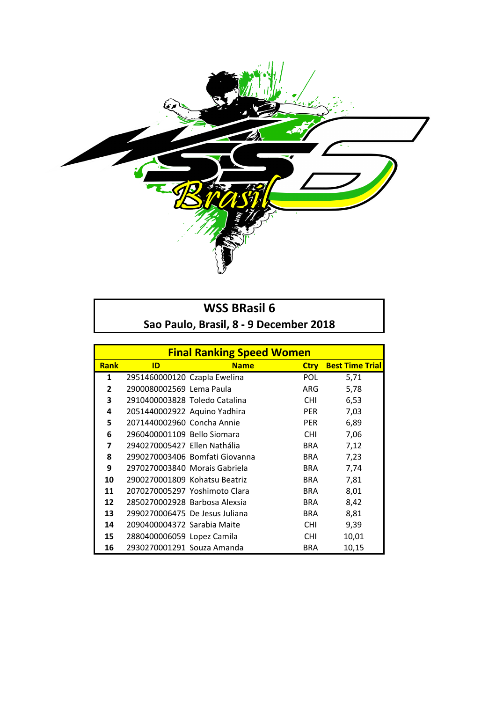

## **WSS BRasil 6** Sao Paulo, Brasil, 8 - 9 December 2018

|                | <b>Final Ranking Speed Women</b> |                                |             |                        |  |
|----------------|----------------------------------|--------------------------------|-------------|------------------------|--|
| <b>Rank</b>    | ID                               | <b>Name</b>                    | <b>Ctry</b> | <b>Best Time Trial</b> |  |
| 1              | 2951460000120 Czapla Ewelina     |                                | <b>POL</b>  | 5,71                   |  |
| $\overline{2}$ | 2900080002569 Lema Paula         |                                | ARG         | 5,78                   |  |
| 3              | 2910400003828 Toledo Catalina    |                                | <b>CHI</b>  | 6,53                   |  |
| 4              | 2051440002922 Aquino Yadhira     |                                | <b>PER</b>  | 7,03                   |  |
| 5              | 2071440002960 Concha Annie       |                                | <b>PER</b>  | 6,89                   |  |
| 6              | 2960400001109 Bello Siomara      |                                | <b>CHI</b>  | 7,06                   |  |
| 7              | 2940270005427 Ellen Nathália     |                                | <b>BRA</b>  | 7,12                   |  |
| 8              |                                  | 2990270003406 Bomfati Giovanna | BRA         | 7,23                   |  |
| 9              | 2970270003840 Morais Gabriela    |                                | <b>BRA</b>  | 7,74                   |  |
| 10             | 2900270001809 Kohatsu Beatriz    |                                | BRA         | 7,81                   |  |
| 11             |                                  | 2070270005297 Yoshimoto Clara  | BRA         | 8,01                   |  |
| 12             | 2850270002928 Barbosa Alexsia    |                                | <b>BRA</b>  | 8,42                   |  |
| 13             | 2990270006475 De Jesus Juliana   |                                | <b>BRA</b>  | 8,81                   |  |
| 14             | 2090400004372 Sarabia Maite      |                                | <b>CHI</b>  | 9,39                   |  |
| 15             | 2880400006059 Lopez Camila       |                                | <b>CHI</b>  | 10,01                  |  |
| 16             | 2930270001291 Souza Amanda       |                                | <b>BRA</b>  | 10,15                  |  |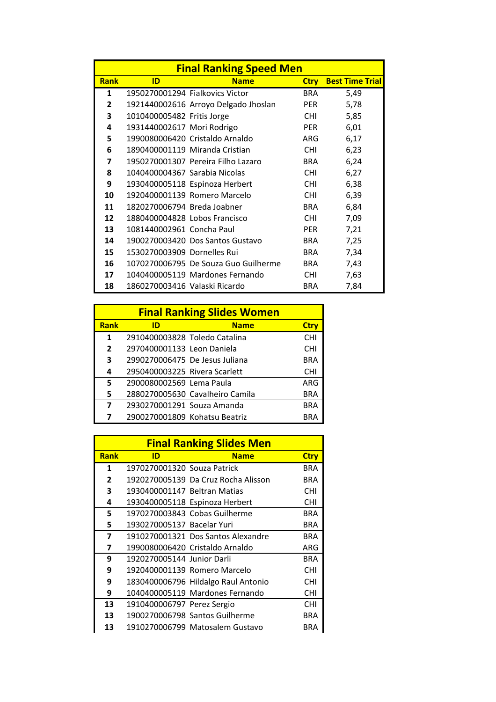|                | <b>Final Ranking Speed Men</b>  |                                      |             |                        |  |
|----------------|---------------------------------|--------------------------------------|-------------|------------------------|--|
| <b>Rank</b>    | ID                              | <b>Name</b>                          | <b>Ctry</b> | <b>Best Time Trial</b> |  |
| 1              | 1950270001294 Fialkovics Victor |                                      | BRA.        | 5,49                   |  |
| $\overline{2}$ |                                 | 1921440002616 Arroyo Delgado Jhoslan | <b>PER</b>  | 5,78                   |  |
| 3              | 1010400005482 Fritis Jorge      |                                      | <b>CHI</b>  | 5,85                   |  |
| 4              | 1931440002617 Mori Rodrigo      |                                      | <b>PER</b>  | 6,01                   |  |
| 5              |                                 | 1990080006420 Cristaldo Arnaldo      | ARG         | 6,17                   |  |
| 6              |                                 | 1890400001119 Miranda Cristian       | <b>CHI</b>  | 6,23                   |  |
| 7              |                                 | 1950270001307 Pereira Filho Lazaro   | BRA         | 6,24                   |  |
| 8              | 1040400004367 Sarabia Nicolas   |                                      | <b>CHI</b>  | 6,27                   |  |
| 9              |                                 | 1930400005118 Espinoza Herbert       | <b>CHI</b>  | 6,38                   |  |
| 10             |                                 | 1920400001139 Romero Marcelo         | <b>CHI</b>  | 6,39                   |  |
| 11             | 1820270006794 Breda Joabner     |                                      | BRA         | 6,84                   |  |
| 12             | 1880400004828 Lobos Francisco   |                                      | <b>CHI</b>  | 7,09                   |  |
| 13             | 1081440002961 Concha Paul       |                                      | <b>PER</b>  | 7,21                   |  |
| 14             |                                 | 1900270003420 Dos Santos Gustavo     | <b>BRA</b>  | 7,25                   |  |
| 15             | 1530270003909 Dornelles Rui     |                                      | <b>BRA</b>  | 7,34                   |  |
| 16             |                                 | 1070270006795 De Souza Guo Guilherme | BRA         | 7,43                   |  |
| 17             |                                 | 1040400005119 Mardones Fernando      | <b>CHI</b>  | 7,63                   |  |
| 18             | 1860270003416 Valaski Ricardo   |                                      | <b>BRA</b>  | 7,84                   |  |

|                | <b>Final Ranking Slides Women</b> |                                 |             |  |  |
|----------------|-----------------------------------|---------------------------------|-------------|--|--|
| <b>Rank</b>    | ID                                | <b>Name</b>                     | <b>Ctry</b> |  |  |
| $\mathbf{1}$   | 2910400003828 Toledo Catalina     |                                 | <b>CHI</b>  |  |  |
| $\overline{2}$ | 2970400001133 Leon Daniela        |                                 | <b>CHI</b>  |  |  |
| 3              | 2990270006475 De Jesus Juliana    |                                 | <b>BRA</b>  |  |  |
| 4              | 2950400003225 Rivera Scarlett     |                                 | <b>CHI</b>  |  |  |
| 5              | 2900080002569 Lema Paula          |                                 | ARG         |  |  |
| 5              |                                   | 2880270005630 Cavalheiro Camila | <b>BRA</b>  |  |  |
| 7              | 2930270001291 Souza Amanda        |                                 | <b>BRA</b>  |  |  |
|                | 2900270001809 Kohatsu Beatriz     |                                 | BRA         |  |  |

|                |                              | <b>Final Ranking Slides Men</b>     |             |
|----------------|------------------------------|-------------------------------------|-------------|
| <b>Rank</b>    | ID                           | <b>Name</b>                         | <b>Ctry</b> |
| 1              | 1970270001320 Souza Patrick  |                                     | BRA         |
| $\overline{2}$ |                              | 1920270005139 Da Cruz Rocha Alisson | BRA         |
| 3              | 1930400001147 Beltran Matias |                                     | <b>CHI</b>  |
| 4              |                              | 1930400005118 Espinoza Herbert      | <b>CHI</b>  |
| 5              |                              | 1970270003843 Cobas Guilherme       | BRA         |
| 5              | 1930270005137 Bacelar Yuri   |                                     | <b>BRA</b>  |
| 7              |                              | 1910270001321 Dos Santos Alexandre  | <b>BRA</b>  |
| 7              |                              | 1990080006420 Cristaldo Arnaldo     | ARG         |
| 9              | 1920270005144 Junior Darli   |                                     | BRA         |
| 9              |                              | 1920400001139 Romero Marcelo        | <b>CHI</b>  |
| 9              |                              | 1830400006796 Hildalgo Raul Antonio | <b>CHI</b>  |
| 9              |                              | 1040400005119 Mardones Fernando     | <b>CHI</b>  |
| 13             | 1910400006797 Perez Sergio   |                                     | <b>CHI</b>  |
| 13             |                              | 1900270006798 Santos Guilherme      | BRA         |
| 13             |                              | 1910270006799 Matosalem Gustavo     | BRA         |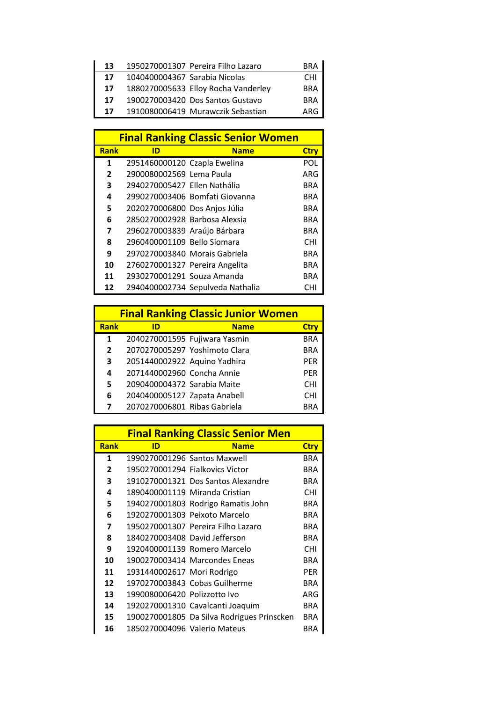| 13 |                               | 1950270001307 Pereira Filho Lazaro  | <b>BRA</b> |
|----|-------------------------------|-------------------------------------|------------|
| 17 | 1040400004367 Sarabia Nicolas |                                     | <b>CHI</b> |
| 17 |                               | 1880270005633 Elloy Rocha Vanderley | <b>BRA</b> |
| 17 |                               | 1900270003420 Dos Santos Gustavo    | <b>BRA</b> |
| 17 |                               | 1910080006419 Murawczik Sebastian   | ARG        |

|                |                                | <b>Final Ranking Classic Senior Women</b> |             |
|----------------|--------------------------------|-------------------------------------------|-------------|
| <b>Rank</b>    | ID                             | <b>Name</b>                               | <b>Ctry</b> |
| 1              | 2951460000120 Czapla Ewelina   |                                           | POL         |
| $\overline{2}$ | 2900080002569 Lema Paula       |                                           | ARG         |
| 3              | 2940270005427 Ellen Nathália   |                                           | BRA         |
| 4              |                                | 2990270003406 Bomfati Giovanna            | BRA         |
| 5              | 2020270006800 Dos Anjos Júlia  |                                           | BRA         |
| 6              | 2850270002928 Barbosa Alexsia  |                                           | BRA         |
| 7              | 2960270003839 Araújo Bárbara   |                                           | <b>BRA</b>  |
| 8              | 2960400001109 Bello Siomara    |                                           | <b>CHI</b>  |
| 9              | 2970270003840 Morais Gabriela  |                                           | <b>BRA</b>  |
| 10             | 2760270001327 Pereira Angelita |                                           | BRA         |
| 11             | 2930270001291 Souza Amanda     |                                           | BRA         |
| 12             |                                | 2940400002734 Sepulveda Nathalia          | CHI         |

| <b>Final Ranking Classic Junior Women</b> |                              |                               |             |  |
|-------------------------------------------|------------------------------|-------------------------------|-------------|--|
| <b>Rank</b>                               | ID                           | <b>Name</b>                   | <b>Ctry</b> |  |
| 1                                         |                              | 2040270001595 Fujiwara Yasmin | <b>BRA</b>  |  |
| $\overline{2}$                            |                              | 2070270005297 Yoshimoto Clara | <b>BRA</b>  |  |
| 3                                         | 2051440002922 Aquino Yadhira |                               | <b>PER</b>  |  |
| 4                                         | 2071440002960 Concha Annie   |                               | <b>PER</b>  |  |
| 5                                         | 2090400004372 Sarabia Maite  |                               | <b>CHI</b>  |  |
| 6                                         | 2040400005127 Zapata Anabell |                               | <b>CHI</b>  |  |
| 7                                         | 2070270006801 Ribas Gabriela |                               | <b>BRA</b>  |  |

|                |                                 | <b>Final Ranking Classic Senior Men</b>    |             |
|----------------|---------------------------------|--------------------------------------------|-------------|
| <b>Rank</b>    | ID                              | <b>Name</b>                                | <b>Ctry</b> |
| 1              | 1990270001296 Santos Maxwell    |                                            | <b>BRA</b>  |
| $\overline{2}$ | 1950270001294 Fialkovics Victor |                                            | BRA         |
| 3              |                                 | 1910270001321 Dos Santos Alexandre         | BRA         |
| 4              |                                 | 1890400001119 Miranda Cristian             | <b>CHI</b>  |
| 5              |                                 | 1940270001803 Rodrigo Ramatis John         | <b>BRA</b>  |
| 6              |                                 | 1920270001303 Peixoto Marcelo              | BRA         |
| 7              |                                 | 1950270001307 Pereira Filho Lazaro         | <b>BRA</b>  |
| 8              | 1840270003408 David Jefferson   |                                            | <b>BRA</b>  |
| 9              |                                 | 1920400001139 Romero Marcelo               | <b>CHI</b>  |
| 10             |                                 | 1900270003414 Marcondes Eneas              | BRA         |
| 11             | 1931440002617 Mori Rodrigo      |                                            | <b>PFR</b>  |
| 12             |                                 | 1970270003843 Cobas Guilherme              | BRA         |
| 13             | 1990080006420 Polizzotto Ivo    |                                            | ARG         |
| 14             |                                 | 1920270001310 Cavalcanti Joaquim           | <b>BRA</b>  |
| 15             |                                 | 1900270001805 Da Silva Rodrigues Prinscken | <b>BRA</b>  |
| 16             | 1850270004096 Valerio Mateus    |                                            | BRA         |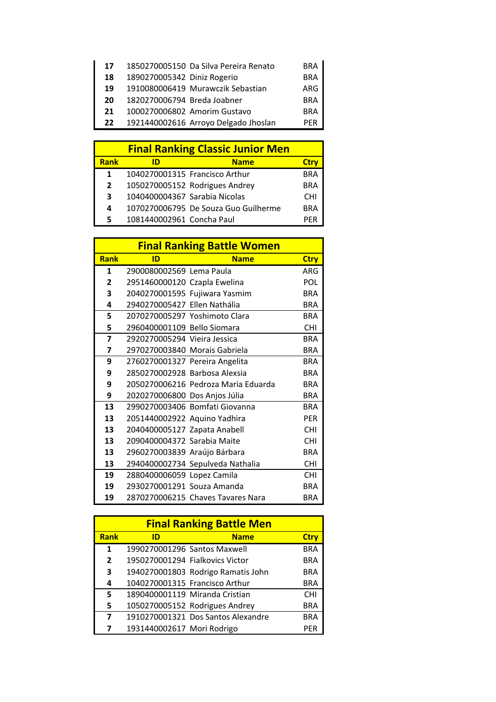| 17 |                             | 1850270005150 Da Silva Pereira Renato | <b>BRA</b> |
|----|-----------------------------|---------------------------------------|------------|
| 18 | 1890270005342 Diniz Rogerio |                                       | <b>BRA</b> |
| 19 |                             | 1910080006419 Murawczik Sebastian     | ARG        |
| 20 | 1820270006794 Breda Joabner |                                       | <b>BRA</b> |
| 21 |                             | 1000270006802 Amorim Gustavo          | <b>BRA</b> |
| 22 |                             | 1921440002616 Arroyo Delgado Jhoslan  | <b>PFR</b> |
|    |                             |                                       |            |

|              | <b>Final Ranking Classic Junior Men</b> |                                      |            |  |  |
|--------------|-----------------------------------------|--------------------------------------|------------|--|--|
| <b>Rank</b>  | חו                                      | <b>Name</b>                          | Ctrv       |  |  |
| 1            |                                         | 1040270001315 Francisco Arthur       | <b>BRA</b> |  |  |
| $\mathbf{2}$ |                                         | 1050270005152 Rodrigues Andrey       | <b>BRA</b> |  |  |
| 3            | 1040400004367 Sarabia Nicolas           |                                      | <b>CHI</b> |  |  |
| 4            |                                         | 1070270006795 De Souza Guo Guilherme | <b>BRA</b> |  |  |
| 5.           | 1081440002961 Concha Paul               |                                      | PFR        |  |  |

|             | <b>Final Ranking Battle Women</b> |                                     |             |  |
|-------------|-----------------------------------|-------------------------------------|-------------|--|
| <b>Rank</b> | ID                                | <b>Name</b>                         | <b>Ctry</b> |  |
| 1           | 2900080002569 Lema Paula          |                                     | ARG         |  |
| 2           | 2951460000120 Czapla Ewelina      |                                     | POL         |  |
| 3           |                                   | 2040270001595 Fujiwara Yasmim       | <b>BRA</b>  |  |
| 4           | 2940270005427 Ellen Nathália      |                                     | <b>BRA</b>  |  |
| 5           |                                   | 2070270005297 Yoshimoto Clara       | <b>BRA</b>  |  |
| 5           | 2960400001109 Bello Siomara       |                                     | <b>CHI</b>  |  |
| 7           | 2920270005294 Viejra Jessica      |                                     | <b>BRA</b>  |  |
| 7           | 2970270003840 Morais Gabriela     |                                     | <b>BRA</b>  |  |
| 9           | 2760270001327 Pereira Angelita    |                                     | <b>BRA</b>  |  |
| 9           | 2850270002928 Barbosa Alexsia     |                                     | <b>BRA</b>  |  |
| 9           |                                   | 2050270006216 Pedroza Maria Eduarda | <b>BRA</b>  |  |
| 9           | 2020270006800 Dos Anjos Júlia     |                                     | <b>BRA</b>  |  |
| 13          |                                   | 2990270003406 Bomfati Giovanna      | <b>BRA</b>  |  |
| 13          | 2051440002922 Aquino Yadhira      |                                     | <b>PFR</b>  |  |
| 13          | 2040400005127 Zapata Anabell      |                                     | <b>CHI</b>  |  |
| 13          | 2090400004372 Sarabia Maite       |                                     | <b>CHI</b>  |  |
| 13          | 2960270003839 Araújo Bárbara      |                                     | <b>BRA</b>  |  |
| 13          |                                   | 2940400002734 Sepulveda Nathalia    | <b>CHI</b>  |  |
| 19          | 2880400006059 Lopez Camila        |                                     | <b>CHI</b>  |  |
| 19          | 2930270001291 Souza Amanda        |                                     | <b>BRA</b>  |  |
| 19          |                                   | 2870270006215 Chaves Tavares Nara   | <b>BRA</b>  |  |

|                | <b>Final Ranking Battle Men</b> |                                    |             |  |  |
|----------------|---------------------------------|------------------------------------|-------------|--|--|
| <b>Rank</b>    | ID                              | <b>Name</b>                        | <b>Ctry</b> |  |  |
| 1              |                                 | 1990270001296 Santos Maxwell       | <b>BRA</b>  |  |  |
| $\overline{2}$ |                                 | 1950270001294 Fialkovics Victor    | <b>BRA</b>  |  |  |
| 3              |                                 | 1940270001803 Rodrigo Ramatis John | <b>BRA</b>  |  |  |
| 4              |                                 | 1040270001315 Francisco Arthur     | <b>BRA</b>  |  |  |
| 5              |                                 | 1890400001119 Miranda Cristian     | <b>CHI</b>  |  |  |
| 5              |                                 | 1050270005152 Rodrigues Andrey     | <b>BRA</b>  |  |  |
| 7              |                                 | 1910270001321 Dos Santos Alexandre | <b>BRA</b>  |  |  |
| 7              | 1931440002617 Mori Rodrigo      |                                    | PER         |  |  |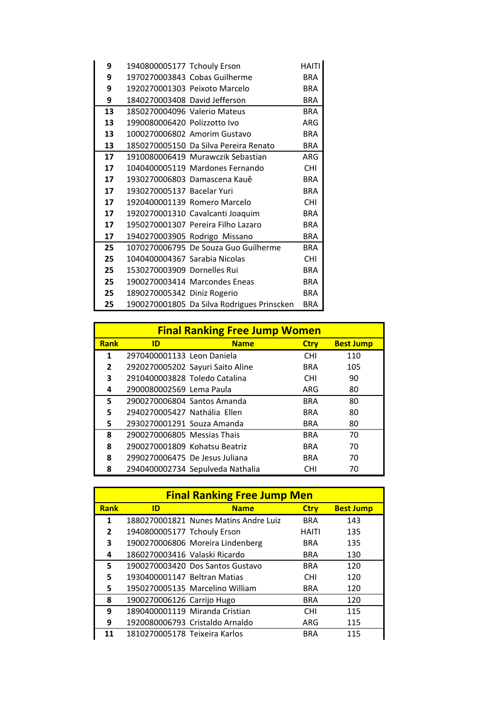| 9  | 1940800005177 Tchouly Erson   |                                            | HAITI      |
|----|-------------------------------|--------------------------------------------|------------|
| 9  |                               | 1970270003843 Cobas Guilherme              | <b>BRA</b> |
| 9  |                               | 1920270001303 Peixoto Marcelo              | <b>BRA</b> |
| 9  | 1840270003408 David Jefferson |                                            | <b>BRA</b> |
| 13 | 1850270004096 Valerio Mateus  |                                            | <b>BRA</b> |
| 13 | 1990080006420 Polizzotto Ivo  |                                            | ARG        |
| 13 |                               | 1000270006802 Amorim Gustavo               | <b>BRA</b> |
| 13 |                               | 1850270005150 Da Silva Pereira Renato      | <b>BRA</b> |
| 17 |                               | 1910080006419 Murawczik Sebastian          | ARG        |
| 17 |                               | 1040400005119 Mardones Fernando            | <b>CHI</b> |
| 17 |                               | 1930270006803 Damascena Kauê               | <b>BRA</b> |
| 17 | 1930270005137 Bacelar Yuri    |                                            | <b>BRA</b> |
| 17 |                               | 1920400001139 Romero Marcelo               | <b>CHI</b> |
| 17 |                               | 1920270001310 Cavalcanti Joaquim           | <b>BRA</b> |
| 17 |                               | 1950270001307 Pereira Filho Lazaro         | <b>BRA</b> |
| 17 |                               | 1940270003905 Rodrigo Missano              | <b>BRA</b> |
| 25 |                               | 1070270006795 De Souza Guo Guilherme       | <b>BRA</b> |
| 25 | 1040400004367 Sarabia Nicolas |                                            | <b>CHI</b> |
| 25 | 1530270003909 Dornelles Rui   |                                            | <b>BRA</b> |
| 25 |                               | 1900270003414 Marcondes Eneas              | <b>BRA</b> |
| 25 | 1890270005342 Diniz Rogerio   |                                            | <b>BRA</b> |
| 25 |                               | 1900270001805 Da Silva Rodrigues Prinscken | <b>BRA</b> |

| <b>Final Ranking Free Jump Women</b> |                                |                                  |             |                  |  |
|--------------------------------------|--------------------------------|----------------------------------|-------------|------------------|--|
| <b>Rank</b>                          | ID                             | <b>Name</b>                      | <b>Ctry</b> | <b>Best Jump</b> |  |
| 1                                    | 2970400001133 Leon Daniela     |                                  | <b>CHI</b>  | 110              |  |
| $\overline{2}$                       |                                | 2920270005202 Sayuri Saito Aline | <b>BRA</b>  | 105              |  |
| 3                                    | 2910400003828 Toledo Catalina  |                                  | <b>CHI</b>  | 90               |  |
| 4                                    | 2900080002569 Lema Paula       |                                  | ARG         | 80               |  |
| 5.                                   | 2900270006804 Santos Amanda    |                                  | <b>BRA</b>  | 80               |  |
| 5.                                   | 2940270005427 Nathália Ellen   |                                  | <b>BRA</b>  | 80               |  |
| 5                                    | 2930270001291 Souza Amanda     |                                  | <b>BRA</b>  | 80               |  |
| 8                                    | 2900270006805 Messias Thais    |                                  | <b>BRA</b>  | 70               |  |
| 8                                    | 2900270001809 Kohatsu Beatriz  |                                  | <b>BRA</b>  | 70               |  |
| 8                                    | 2990270006475 De Jesus Juliana |                                  | <b>BRA</b>  | 70               |  |
| 8                                    |                                | 2940400002734 Sepulveda Nathalia | <b>CHI</b>  | 70               |  |

| <b>Final Ranking Free Jump Men</b> |                               |                                       |             |                  |  |
|------------------------------------|-------------------------------|---------------------------------------|-------------|------------------|--|
| <b>Rank</b>                        | ID                            | <b>Name</b>                           | <b>Ctry</b> | <b>Best Jump</b> |  |
| 1                                  |                               | 1880270001821 Nunes Matins Andre Luiz | <b>BRA</b>  | 143              |  |
| $\overline{\mathbf{z}}$            | 1940800005177 Tchouly Erson   |                                       | HAITI       | 135              |  |
| 3                                  |                               | 1900270006806 Moreira Lindenberg      | <b>BRA</b>  | 135              |  |
| 4                                  | 1860270003416 Valaski Ricardo |                                       | BRA         | 130              |  |
| 5                                  |                               | 1900270003420 Dos Santos Gustavo      | <b>BRA</b>  | 120              |  |
| 5                                  | 1930400001147 Beltran Matias  |                                       | <b>CHI</b>  | 120              |  |
| 5                                  |                               | 1950270005135 Marcelino William       | <b>BRA</b>  | 120              |  |
| 8                                  | 1900270006126 Carrijo Hugo    |                                       | <b>BRA</b>  | 120              |  |
| 9                                  |                               | 1890400001119 Miranda Cristian        | <b>CHI</b>  | 115              |  |
| 9                                  |                               | 1920080006793 Cristaldo Arnaldo       | ARG         | 115              |  |
| 11                                 | 1810270005178 Teixeira Karlos |                                       | <b>BRA</b>  | 115              |  |